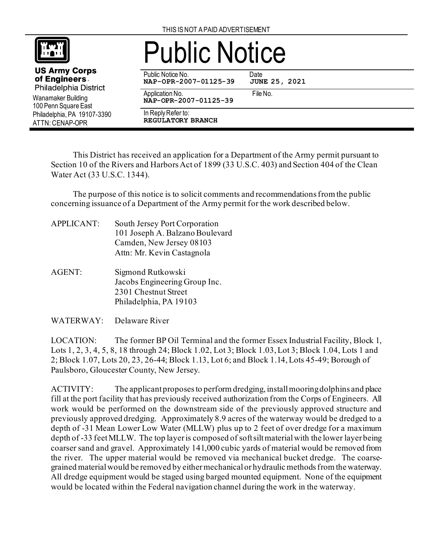

**US Army Corps** of Engineers. Philadelphia District

Wanamaker Building 100 Penn Square East Philadelphia, PA 19107-3390

ATTN: CENAP-OPR

## Public Notice

Public Notice No. Date<br>
NAP-OPR-2007-01125-39 JUNE 25, 2021 **NAP-OPR-2007-01125-39** 

Application No. 6. The No. 6. The No. **NAP-OPR-2007-01125-39**

In Reply Refer to: **REGULATORY BRANCH**

This District has received an application for a Department of the Army permit pursuant to Section 10 of the Rivers and Harbors Act of 1899 (33 U.S.C. 403) and Section 404 of the Clean Water Act (33 U.S.C. 1344).

The purpose of this notice is to solicit comments and recommendations from the public concerning issuance of a Department of the Army permit for the work described below.

- APPLICANT: South Jersey Port Corporation 101 Joseph A. Balzano Boulevard Camden, New Jersey 08103 Attn: Mr. Kevin Castagnola
- AGENT: Sigmond Rutkowski Jacobs Engineering Group Inc. 2301 Chestnut Street Philadelphia, PA 19103
- WATERWAY: Delaware River

LOCATION: The former BP Oil Terminal and the former Essex Industrial Facility, Block 1, Lots 1, 2, 3, 4, 5, 8, 18 through 24; Block 1.02, Lot 3; Block 1.03, Lot 3; Block 1.04, Lots 1 and 2; Block 1.07, Lots 20, 23, 26-44; Block 1.13, Lot 6; and Block 1.14, Lots 45-49; Borough of Paulsboro, Gloucester County, New Jersey.

ACTIVITY: The applicant proposes to perform dredging, install mooring dolphins and place fill at the port facility that has previously received authorization from the Corps of Engineers. All work would be performed on the downstream side of the previously approved structure and previously approved dredging. Approximately 8.9 acres of the waterway would be dredged to a depth of -31 Mean Lower Low Water (MLLW) plus up to 2 feet of over dredge for a maximum depth of -33 feet MLLW. The top layer is composed of soft silt material with the lower layer being coarser sand and gravel. Approximately 141,000 cubic yards of material would be removed from the river. The upper material would be removed via mechanical bucket dredge. The coarsegrained materialwould be removed by either mechanical or hydraulic methodsfrom the waterway. All dredge equipment would be staged using barged mounted equipment. None of the equipment would be located within the Federal navigation channel during the work in the waterway.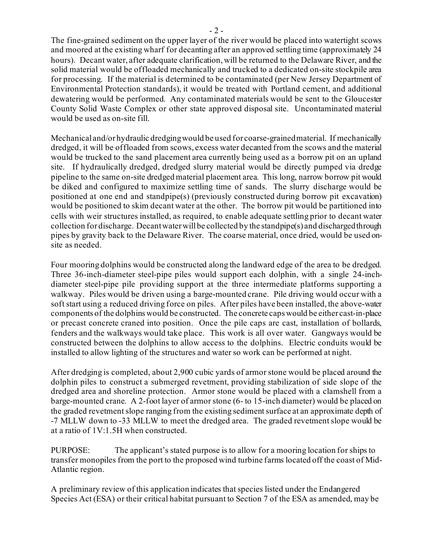The fine-grained sediment on the upper layer of the river would be placed into watertight scows and moored at the existing wharf for decanting after an approved settling time (approximately 24 hours). Decant water, after adequate clarification, will be returned to the Delaware River, and the solid material would be offloaded mechanically and trucked to a dedicated on-site stockpile area for processing. If the material is determined to be contaminated (per New Jersey Department of Environmental Protection standards), it would be treated with Portland cement, and additional dewatering would be performed. Any contaminated materials would be sent to the Gloucester County Solid Waste Complex or other state approved disposal site. Uncontaminated material would be used as on-site fill.

Mechanical and/or hydraulic dredging would be used for coarse-grained material. If mechanically dredged, it will be offloaded from scows, excess water decanted from the scows and the material would be trucked to the sand placement area currently being used as a borrow pit on an upland site. If hydraulically dredged, dredged slurry material would be directly pumped via dredge pipeline to the same on-site dredged material placement area. This long, narrow borrow pit would be diked and configured to maximize settling time of sands. The slurry discharge would be positioned at one end and standpipe(s) (previously constructed during borrow pit excavation) would be positioned to skim decant water at the other. The borrow pit would be partitioned into cells with weir structures installed, as required, to enable adequate settling prior to decant water collection for discharge. Decant water will be collected by the standpipe(s) and discharged through pipes by gravity back to the Delaware River. The coarse material, once dried, would be used onsite as needed.

Four mooring dolphins would be constructed along the landward edge of the area to be dredged. Three 36-inch-diameter steel-pipe piles would support each dolphin, with a single 24-inchdiameter steel-pipe pile providing support at the three intermediate platforms supporting a walkway. Piles would be driven using a barge-mounted crane. Pile driving would occur with a soft start using a reduced driving force on piles. After piles have been installed, the above-water components of the dolphins would be constructed. The concrete caps would be either cast-in-place or precast concrete craned into position. Once the pile caps are cast, installation of bollards, fenders and the walkways would take place. This work is all over water. Gangways would be constructed between the dolphins to allow access to the dolphins. Electric conduits would be installed to allow lighting of the structures and water so work can be performed at night.

After dredging is completed, about 2,900 cubic yards of armor stone would be placed around the dolphin piles to construct a submerged revetment, providing stabilization of side slope of the dredged area and shoreline protection. Armor stone would be placed with a clamshell from a barge-mounted crane. A 2-foot layer of armor stone (6- to 15-inch diameter) would be placed on the graded revetment slope ranging from the existing sediment surface at an approximate depth of -7 MLLW down to -33 MLLW to meet the dredged area. The graded revetment slope would be at a ratio of 1V:1.5H when constructed.

PURPOSE: The applicant's stated purpose is to allow for a mooring location for ships to transfer monopiles from the port to the proposed wind turbine farms located off the coast of Mid-Atlantic region.

A preliminary review of this application indicates that species listed under the Endangered Species Act (ESA) or their critical habitat pursuant to Section 7 of the ESA as amended, may be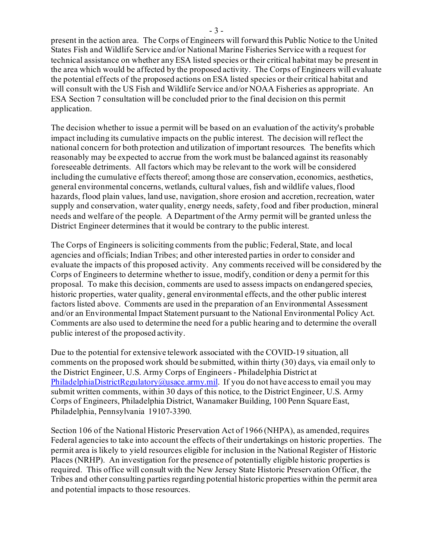present in the action area. The Corps of Engineers will forward this Public Notice to the United States Fish and Wildlife Service and/or National Marine Fisheries Service with a request for technical assistance on whether any ESA listed species or their critical habitat may be present in the area which would be affected by the proposed activity. The Corps of Engineers will evaluate the potential effects of the proposed actions on ESA listed species or their critical habitat and will consult with the US Fish and Wildlife Service and/or NOAA Fisheries as appropriate. An ESA Section 7 consultation will be concluded prior to the final decision on this permit application.

The decision whether to issue a permit will be based on an evaluation of the activity's probable impact including its cumulative impacts on the public interest. The decision will reflect the national concern for both protection and utilization of important resources. The benefits which reasonably may be expected to accrue from the work must be balanced against its reasonably foreseeable detriments. All factors which may be relevant to the work will be considered including the cumulative effects thereof; among those are conservation, economics, aesthetics, general environmental concerns, wetlands, cultural values, fish and wildlife values, flood hazards, flood plain values, land use, navigation, shore erosion and accretion, recreation, water supply and conservation, water quality, energy needs, safety, food and fiber production, mineral needs and welfare of the people. A Department of the Army permit will be granted unless the District Engineer determines that it would be contrary to the public interest.

The Corps of Engineers is soliciting comments from the public; Federal, State, and local agencies and officials; Indian Tribes; and other interested parties in order to consider and evaluate the impacts of this proposed activity. Any comments received will be considered by the Corps of Engineers to determine whether to issue, modify, condition or deny a permit for this proposal. To make this decision, comments are used to assess impacts on endangered species, historic properties, water quality, general environmental effects, and the other public interest factors listed above. Comments are used in the preparation of an Environmental Assessment and/or an Environmental Impact Statement pursuant to the National Environmental Policy Act. Comments are also used to determine the need for a public hearing and to determine the overall public interest of the proposed activity.

Due to the potential for extensive telework associated with the COVID-19 situation, all comments on the proposed work should be submitted, within thirty (30) days, via email only to the District Engineer, U.S. Army Corps of Engineers - Philadelphia District at [PhiladelphiaDistrictRegulatory@usace.army.mil](mailto:PhiladelphiaDistrictRegulatory@usace.army.mil). If you do not have access to email you may submit written comments, within 30 days of this notice, to the District Engineer, U.S. Army Corps of Engineers, Philadelphia District, Wanamaker Building, 100 Penn Square East, Philadelphia, Pennsylvania 19107-3390.

Section 106 of the National Historic Preservation Act of 1966 (NHPA), as amended, requires Federal agencies to take into account the effects of their undertakings on historic properties. The permit area is likely to yield resources eligible for inclusion in the National Register of Historic Places (NRHP). An investigation for the presence of potentially eligible historic properties is required. This office will consult with the New Jersey State Historic Preservation Officer, the Tribes and other consulting parties regarding potential historic properties within the permit area and potential impacts to those resources.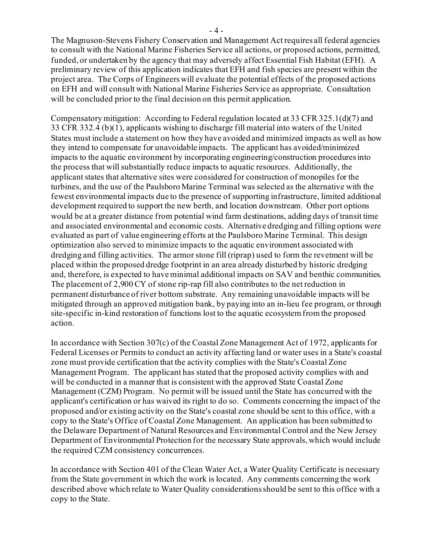The Magnuson‐Stevens Fishery Conservation and Management Act requires all federal agencies to consult with the National Marine Fisheries Service all actions, or proposed actions, permitted, funded, or undertaken by the agency that may adversely affect Essential Fish Habitat (EFH). A preliminary review of this application indicates that EFH and fish species are present within the project area. The Corps of Engineerswill evaluate the potential effects of the proposed actions on EFH and will consult with National Marine Fisheries Service as appropriate. Consultation will be concluded prior to the final decision on this permit application.

Compensatory mitigation: According to Federal regulation located at 33 CFR 325.1(d)(7) and 33 CFR 332.4 (b)(1), applicants wishing to discharge fill material into waters of the United States must include a statement on how they have avoided and minimized impacts as well as how they intend to compensate for unavoidable impacts. The applicant has avoided/minimized impacts to the aquatic environment by incorporating engineering/construction procedures into the process that will substantially reduce impacts to aquatic resources. Additionally, the applicant states that alternative sites were considered for construction of monopiles for the turbines, and the use of the Paulsboro Marine Terminal was selected as the alternative with the fewest environmental impacts due to the presence of supporting infrastructure, limited additional development required to support the new berth, and location downstream. Other port options would be at a greater distance from potential wind farm destinations, adding days of transit time and associated environmental and economic costs. Alternative dredging and filling options were evaluated as part of value engineering efforts at the Paulsboro Marine Terminal. This design optimization also served to minimize impacts to the aquatic environment associated with dredging and filling activities. The armor stone fill (riprap) used to form the revetment will be placed within the proposed dredge footprint in an area already disturbed by historic dredging and, therefore, is expected to have minimal additional impacts on SAV and benthic communities. The placement of 2,900 CY of stone rip-rap fill also contributes to the net reduction in permanent disturbance of river bottom substrate. Any remaining unavoidable impacts will be mitigated through an approved mitigation bank, by paying into an in-lieu fee program, or through site-specific in-kind restoration of functions lost to the aquatic ecosystem from the proposed action.

In accordance with Section 307(c) of the Coastal Zone Management Act of 1972, applicants for Federal Licenses or Permits to conduct an activity affecting land or water uses in a State's coastal zone must provide certification that the activity complies with the State's Coastal Zone Management Program. The applicant has stated that the proposed activity complies with and will be conducted in a manner that is consistent with the approved State Coastal Zone Management (CZM) Program. No permit will be issued until the State has concurred with the applicant's certification or has waived its right to do so. Comments concerning the impact of the proposed and/or existing activity on the State's coastal zone should be sent to this office, with a copy to the State's Office of Coastal Zone Management. An application has been submitted to the Delaware Department of Natural Resources and Environmental Control and the New Jersey Department of Environmental Protection for the necessary State approvals, which would include the required CZM consistency concurrences.

In accordance with Section 401 of the Clean Water Act, a Water Quality Certificate is necessary from the State government in which the work is located. Any comments concerning the work described above which relate to Water Quality considerations should be sent to this office with a copy to the State.